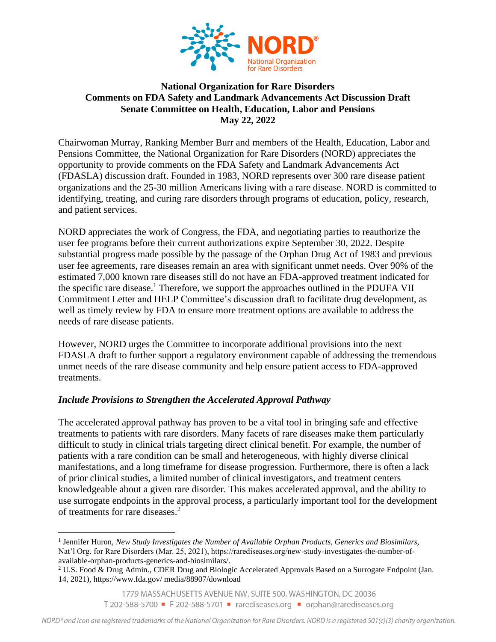

## **National Organization for Rare Disorders Comments on FDA Safety and Landmark Advancements Act Discussion Draft Senate Committee on Health, Education, Labor and Pensions May 22, 2022**

Chairwoman Murray, Ranking Member Burr and members of the Health, Education, Labor and Pensions Committee, the National Organization for Rare Disorders (NORD) appreciates the opportunity to provide comments on the FDA Safety and Landmark Advancements Act (FDASLA) discussion draft. Founded in 1983, NORD represents over 300 rare disease patient organizations and the 25-30 million Americans living with a rare disease. NORD is committed to identifying, treating, and curing rare disorders through programs of education, policy, research, and patient services.

NORD appreciates the work of Congress, the FDA, and negotiating parties to reauthorize the user fee programs before their current authorizations expire September 30, 2022. Despite substantial progress made possible by the passage of the Orphan Drug Act of 1983 and previous user fee agreements, rare diseases remain an area with significant unmet needs. Over 90% of the estimated 7,000 known rare diseases still do not have an FDA-approved treatment indicated for the specific rare disease.<sup>1</sup> Therefore, we support the approaches outlined in the PDUFA VII Commitment Letter and HELP Committee's discussion draft to facilitate drug development, as well as timely review by FDA to ensure more treatment options are available to address the needs of rare disease patients.

However, NORD urges the Committee to incorporate additional provisions into the next FDASLA draft to further support a regulatory environment capable of addressing the tremendous unmet needs of the rare disease community and help ensure patient access to FDA-approved treatments.

## *Include Provisions to Strengthen the Accelerated Approval Pathway*

The accelerated approval pathway has proven to be a vital tool in bringing safe and effective treatments to patients with rare disorders. Many facets of rare diseases make them particularly difficult to study in clinical trials targeting direct clinical benefit. For example, the number of patients with a rare condition can be small and heterogeneous, with highly diverse clinical manifestations, and a long timeframe for disease progression. Furthermore, there is often a lack of prior clinical studies, a limited number of clinical investigators, and treatment centers knowledgeable about a given rare disorder. This makes accelerated approval, and the ability to use surrogate endpoints in the approval process, a particularly important tool for the development of treatments for rare diseases.<sup>2</sup>

<sup>&</sup>lt;sup>1</sup> Jennifer Huron, *New Study Investigates the Number of Available Orphan Products, Generics and Biosimilars,* Nat'l Org. for Rare Disorders (Mar. 25, 2021), https://rarediseases.org/new-study-investigates-the-number-ofavailable-orphan-products-generics-and-biosimilars/.

<sup>2</sup> U.S. Food & Drug Admin., CDER Drug and Biologic Accelerated Approvals Based on a Surrogate Endpoint (Jan. 14, 2021), https://www.fda.gov/ media/88907/download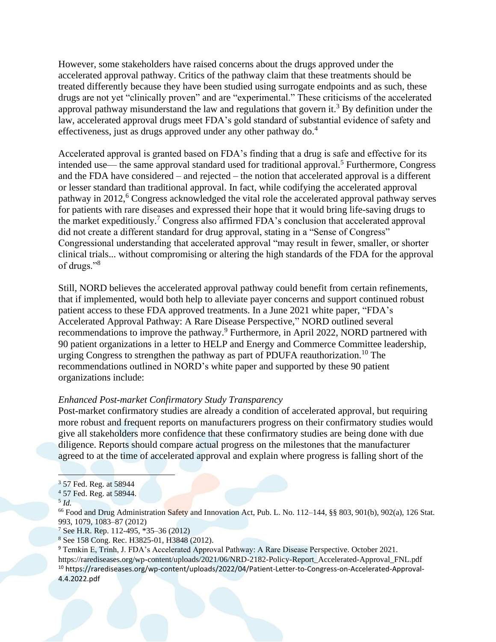However, some stakeholders have raised concerns about the drugs approved under the accelerated approval pathway. Critics of the pathway claim that these treatments should be treated differently because they have been studied using surrogate endpoints and as such, these drugs are not yet "clinically proven" and are "experimental." These criticisms of the accelerated approval pathway misunderstand the law and regulations that govern it.<sup>3</sup> By definition under the law, accelerated approval drugs meet FDA's gold standard of substantial evidence of safety and effectiveness, just as drugs approved under any other pathway do.<sup>4</sup>

Accelerated approval is granted based on FDA's finding that a drug is safe and effective for its intended use— the same approval standard used for traditional approval.<sup>5</sup> Furthermore, Congress and the FDA have considered – and rejected – the notion that accelerated approval is a different or lesser standard than traditional approval. In fact, while codifying the accelerated approval pathway in  $2012<sup>6</sup>$  Congress acknowledged the vital role the accelerated approval pathway serves for patients with rare diseases and expressed their hope that it would bring life-saving drugs to the market expeditiously.<sup>7</sup> Congress also affirmed FDA's conclusion that accelerated approval did not create a different standard for drug approval, stating in a "Sense of Congress" Congressional understanding that accelerated approval "may result in fewer, smaller, or shorter clinical trials... without compromising or altering the high standards of the FDA for the approval of drugs."<sup>8</sup>

Still, NORD believes the accelerated approval pathway could benefit from certain refinements, that if implemented, would both help to alleviate payer concerns and support continued robust patient access to these FDA approved treatments. In a June 2021 white paper, "FDA's Accelerated Approval Pathway: A Rare Disease Perspective," NORD outlined several recommendations to improve the pathway.<sup>9</sup> Furthermore, in April 2022, NORD partnered with 90 patient organizations in a letter to HELP and Energy and Commerce Committee leadership, urging Congress to strengthen the pathway as part of PDUFA reauthorization.<sup>10</sup> The recommendations outlined in NORD's white paper and supported by these 90 patient organizations include:

#### *Enhanced Post-market Confirmatory Study Transparency*

Post-market confirmatory studies are already a condition of accelerated approval, but requiring more robust and frequent reports on manufacturers progress on their confirmatory studies would give all stakeholders more confidence that these confirmatory studies are being done with due diligence. Reports should compare actual progress on the milestones that the manufacturer agreed to at the time of accelerated approval and explain where progress is falling short of the

<sup>66</sup> Food and Drug Administration Safety and Innovation Act, Pub. L. No. 112–144, §§ 803, 901(b), 902(a), 126 Stat. 993, 1079, 1083–87 (2012)

<sup>7</sup> See H.R. Rep. 112-495, \*35–36 (2012)

<sup>3</sup> 57 Fed. Reg. at 58944

<sup>4</sup> 57 Fed. Reg. at 58944.

<sup>5</sup> *Id.*

<sup>8</sup> See 158 Cong. Rec. H3825-01, H3848 (2012).

<sup>9</sup> Temkin E, Trinh, J. FDA's Accelerated Approval Pathway: A Rare Disease Perspective. October 2021. https://rarediseases.org/wp-content/uploads/2021/06/NRD-2182-Policy-Report\_Accelerated-Approval\_FNL.pdf <sup>10</sup> https://rarediseases.org/wp-content/uploads/2022/04/Patient-Letter-to-Congress-on-Accelerated-Approval-4.4.2022.pdf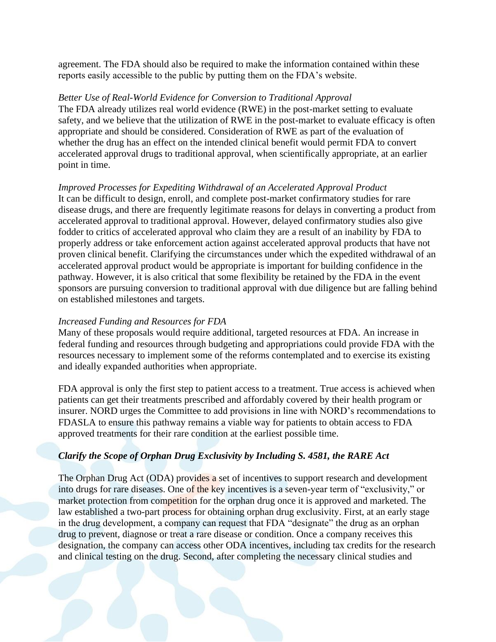agreement. The FDA should also be required to make the information contained within these reports easily accessible to the public by putting them on the FDA's website.

#### *Better Use of Real-World Evidence for Conversion to Traditional Approval*

The FDA already utilizes real world evidence (RWE) in the post-market setting to evaluate safety, and we believe that the utilization of RWE in the post-market to evaluate efficacy is often appropriate and should be considered. Consideration of RWE as part of the evaluation of whether the drug has an effect on the intended clinical benefit would permit FDA to convert accelerated approval drugs to traditional approval, when scientifically appropriate, at an earlier point in time.

#### *Improved Processes for Expediting Withdrawal of an Accelerated Approval Product*

It can be difficult to design, enroll, and complete post-market confirmatory studies for rare disease drugs, and there are frequently legitimate reasons for delays in converting a product from accelerated approval to traditional approval. However, delayed confirmatory studies also give fodder to critics of accelerated approval who claim they are a result of an inability by FDA to properly address or take enforcement action against accelerated approval products that have not proven clinical benefit. Clarifying the circumstances under which the expedited withdrawal of an accelerated approval product would be appropriate is important for building confidence in the pathway. However, it is also critical that some flexibility be retained by the FDA in the event sponsors are pursuing conversion to traditional approval with due diligence but are falling behind on established milestones and targets.

#### *Increased Funding and Resources for FDA*

Many of these proposals would require additional, targeted resources at FDA. An increase in federal funding and resources through budgeting and appropriations could provide FDA with the resources necessary to implement some of the reforms contemplated and to exercise its existing and ideally expanded authorities when appropriate.

FDA approval is only the first step to patient access to a treatment. True access is achieved when patients can get their treatments prescribed and affordably covered by their health program or insurer. NORD urges the Committee to add provisions in line with NORD's recommendations to FDASLA to ensure this pathway remains a viable way for patients to obtain access to FDA approved treatments for their rare condition at the earliest possible time.

#### *Clarify the Scope of Orphan Drug Exclusivity by Including S. 4581, the RARE Act*

The Orphan Drug Act (ODA) provides a set of incentives to support research and development into drugs for rare diseases. One of the key incentives is a seven-year term of "exclusivity," or market protection from competition for the orphan drug once it is approved and marketed. The law established a two-part process for obtaining orphan drug exclusivity. First, at an early stage in the drug development, a company can request that FDA "designate" the drug as an orphan drug to prevent, diagnose or treat a rare disease or condition. Once a company receives this designation, the company can access other ODA incentives, including tax credits for the research and clinical testing on the drug. Second, after completing the necessary clinical studies and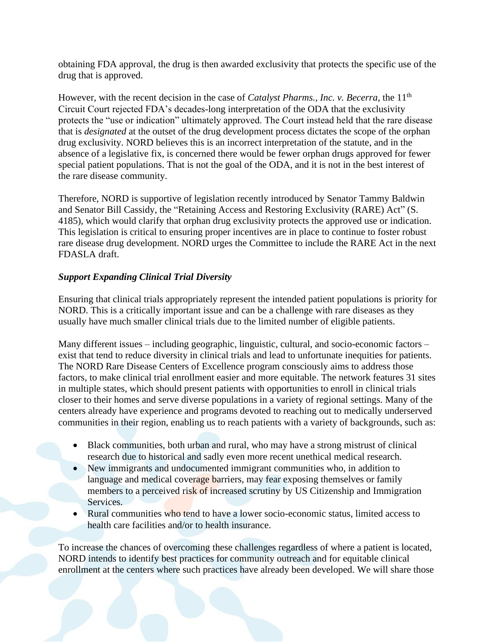obtaining FDA approval, the drug is then awarded exclusivity that protects the specific use of the drug that is approved.

However, with the recent decision in the case of *Catalyst Pharms., Inc. v. Becerra*, the 11<sup>th</sup> Circuit Court rejected FDA's decades-long interpretation of the ODA that the exclusivity protects the "use or indication" ultimately approved. The Court instead held that the rare disease that is *designated* at the outset of the drug development process dictates the scope of the orphan drug exclusivity. NORD believes this is an incorrect interpretation of the statute, and in the absence of a legislative fix, is concerned there would be fewer orphan drugs approved for fewer special patient populations. That is not the goal of the ODA, and it is not in the best interest of the rare disease community.

Therefore, NORD is supportive of legislation recently introduced by Senator Tammy Baldwin and Senator Bill Cassidy, the "Retaining Access and Restoring Exclusivity (RARE) Act" (S. 4185), which would clarify that orphan drug exclusivity protects the approved use or indication. This legislation is critical to ensuring proper incentives are in place to continue to foster robust rare disease drug development. NORD urges the Committee to include the RARE Act in the next FDASLA draft.

# *Support Expanding Clinical Trial Diversity*

Ensuring that clinical trials appropriately represent the intended patient populations is priority for NORD. This is a critically important issue and can be a challenge with rare diseases as they usually have much smaller clinical trials due to the limited number of eligible patients.

Many different issues – including geographic, linguistic, cultural, and socio-economic factors – exist that tend to reduce diversity in clinical trials and lead to unfortunate inequities for patients. The NORD Rare Disease Centers of Excellence program consciously aims to address those factors, to make clinical trial enrollment easier and more equitable. The network features 31 sites in multiple states, which should present patients with opportunities to enroll in clinical trials closer to their homes and serve diverse populations in a variety of regional settings. Many of the centers already have experience and programs devoted to reaching out to medically underserved communities in their region, enabling us to reach patients with a variety of backgrounds, such as:

- Black communities, both urban and rural, who may have a strong mistrust of clinical research due to historical and sadly even more recent unethical medical research.
- New immigrants and undocumented immigrant communities who, in addition to language and medical coverage barriers, may fear exposing themselves or family members to a perceived risk of increased scrutiny by US Citizenship and Immigration Services.
- Rural communities who tend to have a lower socio-economic status, limited access to health care facilities and/or to health insurance.

To increase the chances of overcoming these challenges regardless of where a patient is located, NORD intends to identify best practices for community outreach and for equitable clinical enrollment at the centers where such practices have already been developed. We will share those